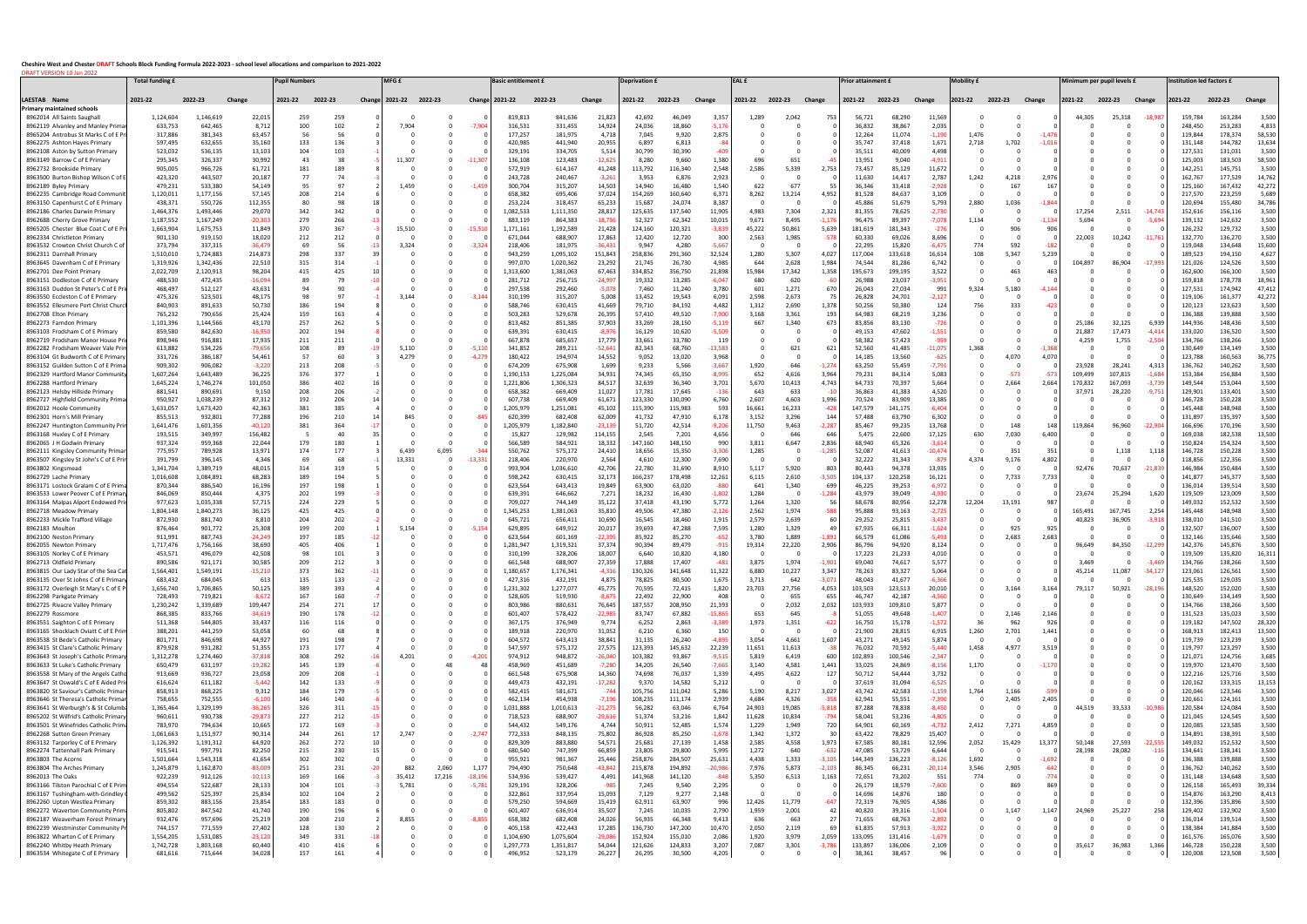## **Cheshire West and Chester DRAFT Schools Block Funding Formula 2022-2023 - school level allocations and comparison to 2021-2022** DRAFT VERSION 10 Jan 2022

|                                                                            | <b>Total funding</b>   |                        |                     | <b>Pupil Numbers</b> |            | MFG £                  |          |                | <b>Basic entitlement £</b> |                      |                     | <b>Deprivation £</b> |                    |                     | EAL £           |                 |                      | Prior attainment £ |                    |                       | <b>Mobility f</b> |               |                 | Minimum per pupil levels £ |                   |                  | <b>Institution led factors £</b> |                    |                  |
|----------------------------------------------------------------------------|------------------------|------------------------|---------------------|----------------------|------------|------------------------|----------|----------------|----------------------------|----------------------|---------------------|----------------------|--------------------|---------------------|-----------------|-----------------|----------------------|--------------------|--------------------|-----------------------|-------------------|---------------|-----------------|----------------------------|-------------------|------------------|----------------------------------|--------------------|------------------|
| AESTAB Name                                                                | 2021-22                | 2022-23                | Change              | 2021-22              | 2022-23    | Change 2021-22 2022-23 |          | Change 2021-22 |                            | 2022-23              | Change              | 2021-22              | 2022-23            | Change              | 2021-22         | 2022-23 Change  |                      | 2021-22            | 2022-23            | Change                | 2021-22           | 2022-23       | Change          | 2021-22                    | 2022-23           | Change           | 2021-22                          | 2022-23            | Change           |
| Primary maintained schools                                                 |                        | 1,146,619              |                     |                      |            |                        |          |                |                            |                      |                     |                      | 46,049             | 3,357               |                 |                 |                      |                    |                    | 11,569                |                   |               |                 |                            |                   |                  |                                  |                    | 3,500            |
| 8962014 All Saints Saughall<br>8962119 Alvanley and Manley Primar          | 1,124,604<br>633,753   | 642,465                | 22,015<br>8,712     | 259<br>100           | 259<br>102 | 7,904                  |          | -7.90          | 819,813<br>316.53          | 841,636<br>331,455   | 21,823<br>14,924    | 42,692<br>24,036     | 18,860             | $-5,17$             | 1,289           | 2,042           | 753                  | 56,721<br>36,832   | 68,290<br>38,867   | 2,03                  |                   |               |                 | 44,305                     | 25,318            | -18,987          | 159,784<br>248,450               | 163,284<br>253,283 | 4,833            |
| 8965204 Antrobus St Marks C of E F                                         | 317,886                | 381,343                | 63,45               |                      |            |                        |          |                | 177,257                    | 181,975              | 4,718               | 7,045                | 9,920              | 2,87                |                 |                 |                      | 12,264             | 11,074             | $\cdot 1.19$          |                   |               |                 |                            |                   |                  | 119,844                          | 178,374            | 58,530           |
| 8962275 Ashton Hayes Primary<br>8962108 Aston by Sutton Primary            | 597,495<br>523,032     | 632,655<br>536,135     | 35,160<br>13,103    | 133                  | 136<br>103 |                        |          |                | 420,985<br>329,191         | 441,940<br>334,705   | 20,955<br>5,514     | 6,897<br>30,799      | 6,813<br>30,390    |                     |                 |                 |                      | 35,747<br>35,511   | 37,418<br>40,009   | 1,67<br>4,498         | 2,718             |               | $1.0^{\circ}$   |                            |                   |                  | 131,148<br>127,531               | 144,782<br>131,031 | 13,634<br>3,500  |
| 8963149 Barrow C of E Primar                                               | 295,345                | 326,337                | 30,992              | -43                  | 38         | 11,307                 |          |                | 136,108                    | 123,483              | $-12,62$            | 8,280                | 9,660              | 1,380               | -696            | 651             |                      | 13,951             | 9,040              | $-4,91$               |                   |               |                 |                            |                   |                  | 125,003                          | 183,503            | 58,500           |
| 8962732 Brookside Primar                                                   | 905,005                | 966,726                | 61,721              | 181                  | 189        |                        |          |                | 572,919                    | 614,167              | 41,248              | 113,792              | 116,340            | 2,548               | 2.586           | 5,339           | 2,753                | 73,457             | 85,129             | 11,672                |                   |               |                 |                            |                   |                  | 142,251                          | 145,751            | 3,500            |
| 8963500 Burton Bishop Wilson C of<br>8962189 Byley Primary                 | 423,320<br>479,231     | 443,507<br>533,380     | 20,187<br>54,149    | -95                  | 74<br>97   | 1,459                  |          |                | 243,728<br>300,704         | 240,467<br>315,207   | $-3,26$<br>14,503   | 3,953<br>14,940      | 6,876<br>16,480    | 2,923<br>1,540      | 622             | 677             |                      | 11,630<br>36,346   | 14,417<br>33,418   | 2,78<br>-2,928        | 1,242             | 4,218<br>16   | 2.9<br>16       |                            |                   |                  | 162,767<br>125,160               | 177,529<br>167,432 | 14,762<br>42,272 |
| 8962235 Cambridge Road Communi                                             | 1,120,011              | 1,177,156              | 57,149              | 208                  | 214        |                        |          |                | 658,382                    | 695,406              | 37,024              | 154,269              | 160,640            | 6,37                | 8,262           | 13,214          | 4,95.                | 81,528             | 84,637             | 3,10                  |                   |               |                 |                            |                   |                  | 217,570                          | 223,259            | 5,689            |
| 8963150 Capenhurst C of E Primar                                           | 438,371                | 550,726                | 112,355             |                      | 98         |                        |          |                | 253,224                    | 318,457              | 65,23               | 15,687               | 24,074             | 8,387               |                 |                 |                      | 45,886             | 51,679             | 5,79                  |                   |               |                 |                            |                   |                  | 120,694                          | 155,480            | 34,786           |
| 8962186 Charles Darwin Primary<br>8962688 Cherry Grove Primary             | 1,464,376<br>1,187,552 | 1,493,446<br>1,167,249 | 29,070<br>-20,30    | 342<br>279           | 342<br>266 |                        |          |                | 1,082,533<br>883,119       | 1,111,350<br>864,383 | 28,817<br>-18,73    | 125,635<br>52,327    | 137,540<br>62,342  | 11,905<br>10,015    | 4,983<br>9,671  | 7,304<br>8,495  | 2,321<br>$-1,17$     | 81,355<br>96,475   | 78,625<br>89,397   | -2,730<br>-7,07       |                   |               | 1.13            | 17.254<br>5,694            | 2,511             | -5.6             | 152,616<br>139,132               | 156,116<br>142,632 | 3,500<br>3,500   |
| 8965205 Chester Blue Coat C of E P                                         | 1,663,904              | 1,675,753              | 11,849              | 370                  | 367        |                        |          |                | 1,171,161                  | 1,192,589            | 21,428              | 124,160              | 120,321            | $-3,83$             | 45,222          | 50,861          | 5,639                | 181,619            | 181,343            | $-27$                 |                   |               |                 |                            |                   |                  | 126,232                          | 129,732            | 3,500            |
| 8962334 Christleton Primary                                                | 901,130                | 919,150                | 18,02               | 212                  | 212        |                        |          |                | 671,044                    | 688,907              | 17,863              | 12,420               | 12,720             | -30                 | 2,563           | 1,985           | -57                  | 60,330             | 69,026             | 8,696                 |                   |               |                 | 22,003                     |                   |                  | 132,770                          | 136,270            | 3,500            |
| 8963532 Crowton Christ Church C of<br>8962311 Darnhall Primary             | 373,794<br>1,510,010   | 337,315<br>1,724,883   | -36,47<br>214,873   | -69<br>298           | 56<br>337  | 3,324                  |          |                | 218,406<br>943,259         | 181,975<br>1,095,102 | $-36,43$<br>151,843 | 9,947<br>258,836     | 4,280<br>291,360   | $-5,66$<br>32,524   | 1,280           | 5,307           | 4,027                | 22,295<br>117,004  | 15,820<br>133,618  | $-6,47$<br>16,614     | 774<br>108        | -59.<br>5,347 | 5.23            |                            |                   |                  | 119,048<br>189,523               | 134,648<br>194,150 | 15,600<br>4,627  |
| 8963645 Davenham C of E Primary                                            | 1,319,926              | 1,342,436              | 22,510              | -315                 | 314        |                        |          |                | 997,070                    | 1,020,362            | 23,292              | 21,745               | 26,730             | 4,985               | 644             | 2,628           | 1,984                | 74,544             | 81,286             | 6,74                  |                   |               |                 | 4,897                      |                   |                  | 121,026                          | 124,526            | 3,500            |
| 8962701 Dee Point Primary                                                  | 2,022,709              | 2,120,913              | 98,204              | 415                  | 425        |                        |          |                | 1,313,600                  | 1,381,063            | 67,463              | 334,852              | 356,750            | 21,898              | 15,984          | 17,342          | 1,358                | 195,673            | 199,195            | 3,522                 |                   | 46            |                 |                            |                   |                  | 162.600                          | 166,100            | 3,500            |
| 8963151 Dodleston C of E Primary                                           | 488,530<br>468,497     | 472,435<br>512,127     | -16,09<br>43,63     |                      | 79<br>90   |                        |          |                | 281,712<br>297,538         | 256,715<br>292,460   | -24,99              | 19,332<br>7,460      | 13,285<br>11,240   | -6,04<br>3,780      | 680<br>601      | 620<br>1,271    | 670                  | 26,988<br>26,043   | 23,037<br>27,034   | -3,95<br>99           | 9,324             |               |                 |                            |                   |                  | 159,818<br>127,531               | 178,778<br>174,942 | 18,961<br>47,412 |
| 8963163 Duddon St Peter's C of E Pr<br>8963550 Eccleston C of E Primary    | 475,326                | 523,501                | 48,175              |                      | 97         |                        |          |                | 310.19                     | 315,207              | $-5,07$<br>5,008    | 13,452               | 19,543             | 6,091               | 2.598           | 2,673           |                      | 26,828             | 24,701             | -2,12.                |                   | 5,180         |                 |                            |                   |                  | 119,106                          | 161,377            | 42,272           |
| 8963552 Ellesmere Port Christ Chur                                         | 840,903                | 891,633                | 50,730              | 186                  | 194        |                        |          |                | 588.74                     | 630,415              | 41,669              | 79,710               | 84,192             | 4,482               | 1,312           | 2,690           | 1,378                | 50,256             | 50,380             | 12                    | 756               | -333          |                 |                            |                   |                  | 120,123                          | 123,623            | 3,500            |
| 8962708 Elton Primary                                                      | 765,232                | 790,656                | 25,424              | 159                  | 163        |                        |          |                | 503,283                    | 529,678              | 26,395              | 57,410               | 49,510             | $-7.90$             | 3,168           | 3,361           | 193                  | 64,983             | 68,219             | 3,236                 |                   |               |                 |                            |                   |                  | 136,388                          | 139,888            | 3,500            |
| 8962273 Farndon Primary<br>8963103 Frodsham C of E Primary                 | 1,101,396<br>859,580   | 1,144,566<br>842,630   | 43,170<br>-16,95    | 257<br>202           | 262<br>194 |                        |          |                | 813,482<br>639,39          | 851,385<br>630,415   | 37,903<br>$-8,97$   | 33,269<br>16,129     | 28,150<br>10,620   | -5,11<br>-5,50      | 66.             | 1,340           | 67                   | 83,856<br>49,153   | 83,130<br>47,602   | -72<br>$-1,55$        |                   |               |                 | 25,186<br>21,887           | 32,125<br>17,473  | 6,939<br>$-4,41$ | 144,936<br>133,020               | 148,436<br>136,520 | 3,500<br>3,500   |
| 8962719 Frodsham Manor House Pr                                            | 898,946                | 916,881                | 17,935              | 211                  | 211        |                        |          |                | 667,87                     | 685,657              | 17,779              | 33,661               | 33,780             |                     |                 |                 |                      | 58,382             | 57,423             | -9                    |                   |               |                 | 4,259                      | 1,755             | -2,50            | 134,766                          | 138,266            | 3,500            |
| 8962282 Frodsham Weaver Vale Pr                                            | 613,882                | 534,226                | -79,65              | 108                  | 89         |                        |          | -5.11          | 341,852                    | 289,211              | -52,64              | 82.343               | 68,760             | 13.5                |                 | 621             | -62                  | 52,560             | 41,485             |                       |                   |               |                 |                            |                   |                  | 130,649                          | 134,149            | 3,500            |
| 8963104 Gt Budworth C of E Primar<br>8963152 Guilden Sutton C of E Prin    | 331,726<br>909,302     | 386,187<br>906,082     | 54,461<br>-3,22     | -57<br>213           | 60<br>208  | 4.279                  |          | $-4.27$        | 180,422<br>674,209         | 194,974<br>675,908   | 14,552<br>1,699     | 9,052<br>9,233       | 13,020<br>5,566    | 3,968<br>-3,66      | 1,920           | 646             |                      | 14,185<br>63,250   | 13,560<br>55,459   | -62<br>-7,79          |                   | 4.07          | 4,070           | 23,928                     | 28,241            | 4,31             | 123,788<br>136,762               | 160,563<br>140,262 | 36,775<br>3,500  |
| 8962329 Hartford Manor Communi                                             | 1,607,264              | 1,643,489              | 36,225              | 376                  | 377        |                        |          |                | 1,190,153                  | 1,225,084            | 34,931              | 74,345               | 65,350             | $-8,99$             | 652             | 4,616           | 3,964                | 79,231             | 84,314             | 5,083                 |                   | -57:          |                 | 109,499                    | 107,815           | $-1,68$          | 153,384                          | 156,884            | 3,500            |
| 8962288 Hartford Primary                                                   | 1,645,224              | 1,746,274              | 101,050             | 386                  | 402        |                        |          |                | 1,221,806                  | 1,306,323            | 84,517              | 32,639               | 36,340             | 3,701               | 5,670           | 10,413          | 4,743                | 64,733             | 70,397             | 5,664                 |                   | 2.66          | 2,664           | 170,832                    | 167,093           | $-3,73$          | 149,544                          | 153,044            | 3,500            |
| 8962123 Helsby Hillside Primary                                            | 881,541                | 890,691                | 9,150               | 208                  | 206        |                        |          |                | 658,382                    | 669,409              | 11,027              | 17,781               | 17,645             | $-1$                | 643             | 633             |                      | 36,863             | 41,383             | 4,520                 |                   |               |                 | 37,971                     | 28,220            | $-9.7'$          | 129,901                          | 133,401            | 3,500            |
| 8962727 Highfield Community Prim<br>8962012 Hoole Community                | 950,927<br>1,631,057   | 1,038,239<br>1,673,420 | 87,312<br>42,363    | 192<br>381           | 206<br>385 |                        |          |                | 607,738<br>1,205,979       | 669,409<br>1,251,081 | 61,671<br>45,10     | 123,330<br>115,390   | 130,090<br>115,983 | 6,760<br>593        | 2,607<br>16,661 | 4,603<br>16,233 | 1,996<br>$-42$       | 70,524<br>147,579  | 83,909<br>141,175  | 13,385<br>-6.40       |                   |               |                 |                            |                   |                  | 146,728<br>145,448               | 150,228<br>148,948 | 3,500<br>3,500   |
| 8962301 Horn's Mill Primary                                                | 855,513                | 932,801                | 77,288              | 196                  | 210        |                        |          |                | 620,399                    | 682,408              | 62,009              | 41,732               | 47,910             | 6,178               | 3,152           | 3,296           | 14                   | 57,488             | 63,790             | 6,30.                 |                   |               |                 |                            |                   |                  | 131,897                          | 135,397            | 3,500            |
| 8962247 Huntington Community Pri                                           | 1,641,476              | 1,601,356              | $-40,120$           | 381                  | 364        |                        |          |                | 1,205,979                  | 1,182,840            | -23,13!             | 51,720               | 42,514             | $-9,20$             | 11,750          | 9,463           | $-2,28$              | 85,467             | 99,235             | 13,768                |                   | 148           |                 | 119,864                    |                   | -22.91           | 166,696                          | 170,196            | 3,500            |
| 8963168 Huxley C of E Primar<br>8962065 J H Godwin Primary                 | 193,515<br>937,324     | 349,997<br>959,368     | 156,482<br>22,044   | 179                  | 40<br>180  |                        |          |                | 15,827<br>566,589          | 129,982<br>584,921   | 114,15!<br>18,332   | 2,545<br>147,160     | 7,201<br>148,150   | 4,65<br>99          | 3,811           | 646<br>6,647    | 64<br>2,836          | 5,475<br>68,940    | 22,600<br>65,326   | 17,12<br>$-3,61$      | 630               | 7,030         |                 |                            |                   |                  | 169,038<br>150,824               | 182,538<br>154,324 | 13,500<br>3,500  |
| 8962111 Kingsley Community Prima                                           | 775,957                | 789,928                | 13,97               | 174                  | 177        |                        | 6.09.    |                | 550,762                    | 575,172              | 24,410              | 18,656               | 15,350             | $-3,30$             | 1,285           | - 0             | 1.28                 | 52,087             | 41,613             | $-10,47$              |                   | -35           |                 |                            | 1,118             | 1,11             | 146,728                          | 150,228            | 3,500            |
| 8963507 Kingsley St John's C of E Pri                                      | 391,799                | 396,145                | 4,346               |                      | 68         | 13.331                 |          |                | 218,406                    | 220,970              | 2,564               | 4,610                | 12,300             | 7,690               |                 |                 |                      | 32,222             | 31,343             | -87                   | 4374              |               | 4.80.           |                            |                   |                  | 118,856                          | 122,356            | 3,500            |
| 8963802 Kingsmead<br>8962729 Lache Primary                                 | 1,341,704<br>1,016,608 | 1,389,719<br>1,084,891 | 48,015<br>68,283    | 314<br>189           | 319<br>194 |                        |          |                | 993,904<br>598,242         | 1,036,610<br>630,415 | 42,706<br>32,17     | 22,780<br>166,237    | 31,690<br>178,498  | 8,910<br>12,261     | 5.117<br>6,115  | 5,920<br>2,610  | -80<br>-3,50         | 80,443<br>104,137  | 94,378<br>120,258  | 13,935<br>16,12:      |                   | 7,733         | 7,733           | 92.476                     | 70,637            | $-21.83$         | 146,984<br>141,877               | 150,484<br>145,377 | 3,500<br>3,500   |
| 8963171 Lostock Gralam C of E Prima                                        | 870,344                | 886,540                | 16,196              | 197                  | 198        |                        |          |                | 623,564                    | 643,413              | 19,849              | 63,900               | 63,020             |                     | 641             | 1,340           | 69                   | 46,225             | 39,253             | -6,97                 |                   |               |                 |                            |                   |                  | 136,014                          | 139,514            | 3,500            |
| 8963533 Lower Peover C of E Prima                                          | 846,069                | 850,444                | 4,375               | 202                  | 199        |                        |          |                | 639,39                     | 646,662              | 7,272               | 18,232               | 16,430             | -1,80               | 1,284           |                 | $-1,284$             | 43,979             | 39,049             | -4.93                 |                   |               |                 | 23,674                     | 25,294            | 1,620            | 119,509                          | 123,009            | 3,500            |
| 8963164 Malpas Alport Endowed P                                            | 977,623                | 1,035,338<br>1,840,273 | 57,71               | 224<br>425           | 229<br>425 |                        |          |                | 709,027                    | 744,149              | 35,122              | 37,418               | 43,190<br>47,380   | 5,772               | 1,264           | 1,320           | -58                  | 68,678             | 80,956             | 12,278                | 12,204            | 13,193        |                 |                            |                   |                  | 149,032                          | 152,532<br>148,948 | 3,500<br>3,500   |
| 8962718 Meadow Primary<br>8962233 Mickle Trafford Village                  | 1,804,148<br>872,930   | 881,740                | 36,125<br>8,810     | 204                  | 202        |                        |          |                | ,345,253<br>645.72         | 1,381,063<br>656,411 | 35,810<br>10,690    | 49,506<br>16,545     | 18,460             | $-2,12$<br>1,915    | 2,562<br>2.579  | 1,974<br>2,639  |                      | 95.88<br>29,252    | 93,163<br>25,815   | -2,72<br>-3,43        |                   |               |                 | 165,491<br>40,823          | 167,745<br>36,905 | 2,254<br>-3.91   | 145,448<br>138,010               | 141,510            | 3,500            |
| 8962183 Moulton                                                            | 876,464                | 901,772                | 25,308              | 199                  | 200        |                        |          |                | 629,895                    | 649,912              | 20,01               | 39,693               | 47,288             | 7,595               | 1,280           | 1,329           |                      | 67,935             | 66,311             | -1,62                 |                   | 92.           |                 |                            |                   |                  | 132,507                          | 136,007            | 3,500            |
| 8962100 Neston Priman                                                      | 911,991                | 887,743                | -24,24              | 197                  | 185        |                        |          |                | 623,564                    | 601,169              | -22,39!             | 85,922               | 85,270             | -6<br>-9            | 3,780           | 1,889           |                      | 66,579             | 61,086             | -5,49                 |                   | 2,683         | 2.68            |                            |                   |                  | 132,146                          | 135,646<br>145,876 | 3,500<br>3,500   |
| 8962055 Newton Primary<br>8963105 Norley C of E Primary                    | 1,717,476<br>453,571   | 1,756,166<br>496,079   | 38,690<br>42,508    | 405                  | 406<br>101 |                        |          |                | 1,281,947<br>310,199       | 1,319,321<br>328,206 | 37,374<br>18,007    | 90.394<br>5.640      | 89,479<br>10,820   | 4,180               | 19,314          | 22,220          | 2,906                | 86,796<br>17,223   | 94,920<br>21,233   | 8,12<br>4,010         |                   |               |                 | 96,649                     | 34,350            |                  | 142,376<br>119,509               | 135,820            | 16,311           |
| 8962713 Oldfield Primary                                                   | 890,586                | 921,171                | 30,585              | 209                  | 212        |                        |          |                | 661,548                    | 688,907              | 27,359              | 17,888               | 17,407             | -48                 | 3,875           | 1,974           | 1,90                 | 69,040             | 74,617             | 5,57                  |                   |               |                 | 3.469                      |                   |                  | 134,766                          | 138,266            | 3,500            |
| 8963815 Our Lady Star of the Sea C                                         | 1,564,40               | 1,549,191              |                     |                      |            |                        |          |                | 180 6 <sup>1</sup>         | 1,176,341            |                     | 130,326              |                    |                     |                 |                 |                      |                    | 83.327             |                       |                   |               |                 |                            |                   |                  |                                  | 126.561            | 3,500            |
| 8963135 Over St Johns C of E Prima<br>8963172 Overleigh St Mary's C of E F | 683,432<br>1,656,740   | 684,045<br>1,706,865   | 613<br>50,125       | 135<br>389           | 133<br>393 | - 0                    |          |                | 427,316<br>1,231,302       | 432,191<br>1,277,077 | 4,875<br>45,775     | 78,825<br>70,595     | 80,500<br>72,415   | 1,675<br>1,820      | 3,713<br>23,703 | 642<br>27,756   | $-3,07$<br>4,053     | 48,043<br>103,503  | 41,677<br>123,513  | $-6,36$<br>20,010     | <sup>n</sup>      | 3,164         | 3,164           | 79,117                     | 50,921            | $-28,19$         | 125,535<br>148,520               | 129,035<br>152,020 | 3,500<br>3,500   |
| 8962298 Parkgate Primary                                                   | 728,493                | 719,821                | -8,672              | 167                  | 160        |                        |          |                | 528,605                    | 519,930              | $-8,675$            | 22,492               | 22,900             | 408                 |                 | 655             | 655                  | 46,747             | 42,187             | $-4,56$               |                   |               |                 |                            |                   |                  | 130,649                          | 134,149            | 3,500            |
| 8962725 Rivacre Valley Primary                                             | 1,230,242              | 1,339,689              | 109,447             | 254                  | 271        |                        |          |                | 803,986                    | 880,631              | 76,645              | 187,557              | 208,950            | 21,393              |                 | 2,032           | 2,032                | 103,933            | 109,810            | 5,87                  |                   |               |                 |                            |                   |                  | 134,766                          | 138,266            | 3,500            |
| 8962279 Rossmore<br>8963551 Saighton C of E Primary                        | 868,385<br>511,368     | 833,766<br>544,805     | $-34,61$<br>33,437  | 190<br>116           | 178<br>116 | - 0                    |          |                | 601,407<br>367,175         | 578,422<br>376,949   | $-22,985$<br>9,774  | 83,747<br>6,252      | 67,882<br>2,863    | $-15,86$<br>$-3,38$ | 653<br>1,973    | 645<br>1,351    | $-62$                | 51,055<br>16,750   | 49,648<br>15,178   | $-1,40$<br>$-1,57$    |                   | 2,146<br>962  | 2,146<br>926    |                            |                   |                  | 131,523<br>119,182               | 135,023<br>147,502 | 3,500<br>28,320  |
| 8963165 Shocklach Oviatt C of E Prir                                       | 388,201                | 441,259                | 53,058              | -60                  | 68         |                        |          |                | 189,918                    | 220,970              | 31,052              | 6,210                | 6,360              | 150                 |                 | $\Omega$        |                      | 21,900             | 28,815             | 6,91                  | 1,260             | 2,701         | 1,441           |                            |                   |                  | 168,913                          | 182,413            | 13,500           |
| 8963538 St Bede's Catholic Primary                                         | 801,771                | 846,698                | 44,927              | 191                  | 198        |                        |          |                | 604,572                    | 643,413              | 38,841              | 31,135               | 26,240             | $-4,89$             | 3,054           | 4,661           | 1,607                | 43,271             | 49,145             | 5,874                 |                   |               |                 |                            |                   |                  | 119,739                          | 123,239            | 3,500            |
| 8963415 St Clare's Catholic Primary<br>8963643 St Joseph's Catholic Primar | 879,928<br>1,312,278   | 931,282<br>1,274,460   | 51,355<br>$-37,81$  | 173<br>308           | 177<br>292 | 4,201                  |          |                | 547,597<br>974,912         | 575,172<br>948,872   | 27,575<br>$-26,04$  | 123,393<br>103,382   | 145,632<br>93,867  | 22,239<br>$-9,51$   | 11,651<br>5,819 | 11,613<br>6,419 | 600                  | 76,032<br>102,893  | 70,592<br>100,546  | $-5,440$<br>$-2,34$   | 1,458             | 4,977         | 3,519           |                            |                   |                  | 119,797<br>121,071               | 123,297<br>124,756 | 3,500<br>3,685   |
| 8963633 St Luke's Catholic Primary                                         | 650,479                | 631,197                | $-19,28$            | 145                  | 139        |                        |          |                | 458,969                    | 451,689              | $-7,280$            | 34,205               | 26,540             | $-7,66$             | 3,140           | 4,581           | 1,441                | 33,025             | 24,869             | $-8,156$              | 1,170             |               | -1,17           |                            |                   |                  | 119,970                          | 123,470            | 3,500            |
| 8963558 St Mary of the Angels Catho                                        | 913,669                | 936,727                | 23,058              | 209                  | 208        | - 0                    |          |                | 661,548                    | 675,908              | 14,360              | 74,698               | 76,037             | 1,339               | 4,495           | 4,622           | 127                  | 50,712             | 54,444             | 3,732                 |                   |               |                 |                            |                   |                  | 122,216                          | 125,716            | 3,500            |
| 8963647 St Oswald's C of E Aided P<br>8963820 St Saviour's Catholic Prima  | 616,624                | 611,182                | -5,442              | 142<br>184           | 133        |                        |          |                | 449,473                    | 432,191              | $-17,282$<br>$-744$ | 9,370                | 14,582             | 5,212               |                 | 8,217           | 3,027                | 37,619<br>43,742   | 31,094<br>42,583   | $-6,52!$              | 1,764             | 1,166         | -59             |                            |                   |                  | 120,162                          | 133,315            | 13,153<br>3,500  |
| 8963646 St Theresa's Catholic Prima                                        | 858,913<br>758,655     | 868,225<br>752,555     | 9,312<br>$-6,100$   | 146                  | 179<br>140 |                        |          |                | 582,415<br>462,134         | 581,671<br>454,938   | $-7,196$            | 105,756<br>108,235   | 111,042<br>111,174 | 5,286<br>2,939      | 5,190<br>4,684  | 4,326           | $-35$                | 62,941             | 55,551             | $-1,15$<br>$-7,390$   |                   | 2,405         | 2,405           |                            |                   |                  | 120,046<br>120,661               | 123,546<br>124,161 | 3,500            |
| 8963641 St Werburgh's & St Columb                                          | 1,365,464              | 1,329,199              | -36,26!             | 326                  | 311        |                        |          |                | 1,031,888                  | 1,010,613            | $-21,275$           | 56,282               | 63,046             | 6,764               | 24,903          | 19,085          | $-5,818$             | 87,288             | 78,838             | $-8,450$              |                   |               |                 | 44,519                     | 33,533            | $-10,98$         | 120,584                          | 124,084            | 3,500            |
| 8965202 St Wilfrid's Catholic Primar                                       | 960,611                | 930,738                | $-29,87$            | 227                  | 212        |                        |          |                | 718,523                    | 688,907              | $-29,61$            | 51,374               | 53,216             | 1,842               | 11,628          | 10,834          | $-79$                | 58,041             | 53,236             | $-4,80$               |                   |               |                 |                            |                   |                  | 121,045                          | 124,545            | 3,500            |
| 8963501 St Winefrides Catholic Prim<br>8962268 Sutton Green Primary        | 783,970<br>1,061,663   | 794,634<br>1,151,977   | 10,665<br>90,314    | 172<br>244           | 169<br>261 | 2,747<br>17            |          | $-2.74$        | 544,432<br>772,333         | 549,176<br>848,135   | 4,744<br>75,802     | 50,911<br>86,928     | 52,485<br>85,250   | 1,574<br>$-1,67$    | 1,229<br>1,342  | 1,949<br>1,372  | 720                  | 64,901<br>63,422   | 60,169<br>78,829   | $-4,73.$<br>15,407    | 2,412             | 7,271         | 4,85!           | $\Omega$                   |                   |                  | 120,085<br>134,891               | 123,585<br>138,391 | 3,500<br>3,500   |
| 8963132 Tarporley C of E Primary                                           | 1,126,392              | 1,191,312              | 64,920              | 262                  | 272        | 10                     |          |                | 829,309                    | 883,880              | 54,571              | 25,681               | 27,139             | 1,458               | 2,585           | 4,558           | 1,973                | 67,585             | 80,181             | 12,596                | 2,052             | 15,429        | 13,377          | 50,148                     | 27,593            | $-22,55$         | 149,032                          | 152,532            | 3,500            |
| 8962274 Tattenhall Park Primary                                            | 915,541                | 997,791                | 82,250              | 215                  | 230        | 15                     |          |                | 680,540                    | 747,399              | 66,859              | 23,805               | 29,800             | 5,995               | 1,272           | 640             | $-63$                | 47,085             | 53,729             | 6,644                 |                   |               |                 | 28,198                     | 28,082            | -1:              | 134,641                          | 138,141            | 3,500            |
| 8963803 The Acorns<br>8963804 The Arches Primary                           | 1,501,664<br>1,245,879 | 1,543,318<br>1,162,870 | 41,654<br>$-83,009$ | 302<br>251           | 302<br>231 | 882                    | 2,060    | 1,177          | 955,921<br>794,490         | 981,367<br>750,648   | 25,446<br>$-43,842$ | 258,876              | 284,507<br>194,892 | 25,631<br>$-20,98$  | 4,438<br>7,976  | 1,333<br>5,873  | $-3,105$<br>$-2,103$ | 144,349<br>86,345  | 136,223<br>66,231  | $-8,126$<br>$-20,114$ | 1,692<br>3,546    | 2,905         | $-1,69.$<br>-64 |                            |                   |                  | 136,388<br>136,762               | 139,888<br>140,262 | 3,500<br>3,500   |
| 8962013 The Oaks                                                           | 922,239                | 912,126                | -10,113             | 169                  | 166        | 35,412                 | 17,216   | 18.19          | 534,936                    | 539,427              | 4,491               | 215,878<br>141,968   | 141,120            | $-84$               | 5,350           | 6,513           | 1,163                | 72,651             | 73,202             | - 55                  | 774               |               | -77             |                            |                   |                  | 131,148                          | 134,648            | 3,500            |
| 8963166 Tilston Parochial C of E Prin                                      | 494,554                | 522,687                | 28,133              | 104                  | 101        | 5,781                  | $\Omega$ | $-5,78$        | 329,191                    | 328,206              | $-985$              | 7,245                | 9,540              | 2,295               |                 | $\Omega$        |                      | 26,179             | 18,579             | $-7,600$              |                   | 869           | 86              |                            |                   |                  | 126,158                          | 165,493            | 39,334           |
| 8963167 Tushingham-with-Grindley                                           | 499,562                | 525,397                | 25,834              | 102                  | 104        |                        |          |                | 322,861                    | 337,954              | 15,093              | 7,129                | 9,277              | 2,148               |                 |                 |                      | 14,696             | 14,876             | 180                   |                   |               |                 |                            |                   |                  | 154,876                          | 163,290            | 8,413            |
| 8962260 Upton Westlea Primary<br>8962272 Waverton Community Prim           | 859,302<br>805,802     | 883,156<br>847,542     | 23,854<br>41,740    | 183<br>190           | 183<br>196 |                        |          |                | 579,250<br>601,407         | 594,669<br>636,914   | 15,41<br>35,507     | 62,911<br>7,245      | 63,907<br>10,035   | 996<br>2,790        | 12,426<br>1,959 | 11,779<br>2,001 | $-64$<br>$\Delta$    | 72,319<br>40,820   | 76,905<br>39,316   | 4,586<br>$-1,504$     |                   | 1,147         | 1,147           | 24,969                     | 25,227            | 258              | 132,396<br>129,402               | 135,896<br>132,902 | 3,500<br>3,500   |
| 8962187 Weaverham Forest Primar                                            | 932,476                | 957,696                | 25,219              | 208                  | 210        | 8,855                  |          |                | 658,382                    | 682,408              | 24,026              | 56,935               | 66,348             | 9,413               | 636             | 663             |                      | 71,655             | 68,763             | $-2,89$               |                   |               |                 |                            |                   |                  | 136,014                          | 139,514            | 3,500            |
| 8962239 Westminster Community                                              | 744,157                | 771,559                | 27,402              | 128                  | 130        |                        |          |                | 405,158                    | 422,443              | 17,285              | 136,730              | 147,200            | 10,470              | 2,050           | 2,119           |                      | 61,835             | 57,913             | $-3,92$               |                   |               |                 |                            |                   |                  | 138,384                          | 141,884            | 3,500            |
| 8963822 Wharton C of E Primary                                             | 1,554,205<br>1,742,728 | 1,531,085<br>1,803,168 | $-23,120$<br>60,440 | 349<br>410           | 331<br>416 | - 0                    | $\Omega$ |                | 1,104,690<br>1,297,773     | 1,075,604            | -29,08              | 152,924              | 155,010            | 2,086<br>3,207      | 1,920<br>7,087  | 3,979<br>3,301  | 2,059<br>$-3,786$    | 133,095<br>133,897 | 131,416<br>136,006 | -1,67<br>2,109        |                   |               |                 |                            | 36,983            | 1,366            | 161,576                          | 165,076<br>150,228 | 3,500<br>3,500   |
| 8962240 Whitby Heath Primary<br>8963534 Whitegate C of E Primary           | 681,616                | 715,644                | 34,028              | 157                  | 161        | $\Omega$               | $\Omega$ |                | 496,952                    | 1,351,817<br>523,179 | 54,044<br>26,227    | 121,626<br>26,295    | 124,833<br>30,500  | 4,205               |                 | n,              |                      | 38,361             | 38,457             |                       |                   |               |                 | 35,617<br>$\Omega$         | n                 |                  | 146,728<br>120,008               | 123,508            | 3,500            |